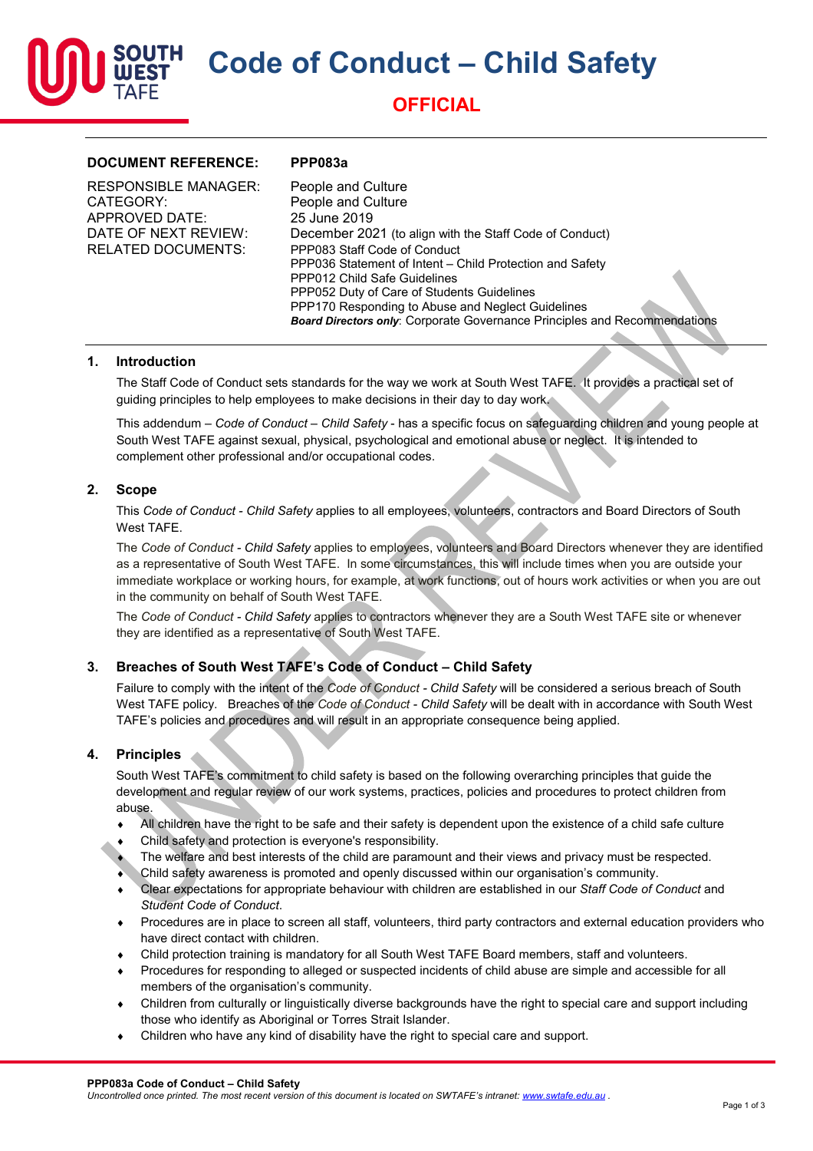**Code of Conduct – Child Safety**



## **OFFICIAL**

### **DOCUMENT REFERENCE: PPP083a**

| <b>RESPONSIBLE MANAGER:</b> | People and Culture                                                               |
|-----------------------------|----------------------------------------------------------------------------------|
| CATEGORY:                   | People and Culture                                                               |
| APPROVED DATE:              | 25 June 2019                                                                     |
| DATE OF NEXT REVIEW:        | December 2021 (to align with the Staff Code of Conduct)                          |
| <b>RELATED DOCUMENTS:</b>   | PPP083 Staff Code of Conduct                                                     |
|                             | PPP036 Statement of Intent - Child Protection and Safety                         |
|                             | PPP012 Child Safe Guidelines                                                     |
|                             | PPP052 Duty of Care of Students Guidelines                                       |
|                             | PPP170 Responding to Abuse and Neglect Guidelines                                |
|                             | <b>Board Directors only:</b> Corporate Governance Principles and Recommendations |

### **1. Introduction**

The Staff Code of Conduct sets standards for the way we work at South West TAFE. It provides a practical set of guiding principles to help employees to make decisions in their day to day work.

This addendum – *Code of Conduct – Child Safety* - has a specific focus on safeguarding children and young people at South West TAFE against sexual, physical, psychological and emotional abuse or neglect. It is intended to complement other professional and/or occupational codes.

### **2. Scope**

This *Code of Conduct - Child Safety* applies to all employees, volunteers, contractors and Board Directors of South West TAFE.

The *Code of Conduct - Child Safety* applies to employees, volunteers and Board Directors whenever they are identified as a representative of South West TAFE. In some circumstances, this will include times when you are outside your immediate workplace or working hours, for example, at work functions, out of hours work activities or when you are out in the community on behalf of South West TAFE.

The *Code of Conduct - Child Safety* applies to contractors whenever they are a South West TAFE site or whenever they are identified as a representative of South West TAFE.

### **3. Breaches of South West TAFE's Code of Conduct – Child Safety**

Failure to comply with the intent of the *Code of Conduct - Child Safety* will be considered a serious breach of South West TAFE policy. Breaches of the *Code of Conduct - Child Safety* will be dealt with in accordance with South West TAFE's policies and procedures and will result in an appropriate consequence being applied.

### **4. Principles**

South West TAFE's commitment to child safety is based on the following overarching principles that guide the development and regular review of our work systems, practices, policies and procedures to protect children from abuse.

- All children have the right to be safe and their safety is dependent upon the existence of a child safe culture
- Child safety and protection is everyone's responsibility.
- The welfare and best interests of the child are paramount and their views and privacy must be respected.
- Child safety awareness is promoted and openly discussed within our organisation's community.
- ♦ Clear expectations for appropriate behaviour with children are established in our *Staff Code of Conduct* and *Student Code of Conduct*.
- Procedures are in place to screen all staff, volunteers, third party contractors and external education providers who have direct contact with children.
- Child protection training is mandatory for all South West TAFE Board members, staff and volunteers.
- ♦ Procedures for responding to alleged or suspected incidents of child abuse are simple and accessible for all members of the organisation's community.
- Children from culturally or linguistically diverse backgrounds have the right to special care and support including those who identify as Aboriginal or Torres Strait Islander.
- ♦ Children who have any kind of disability have the right to special care and support.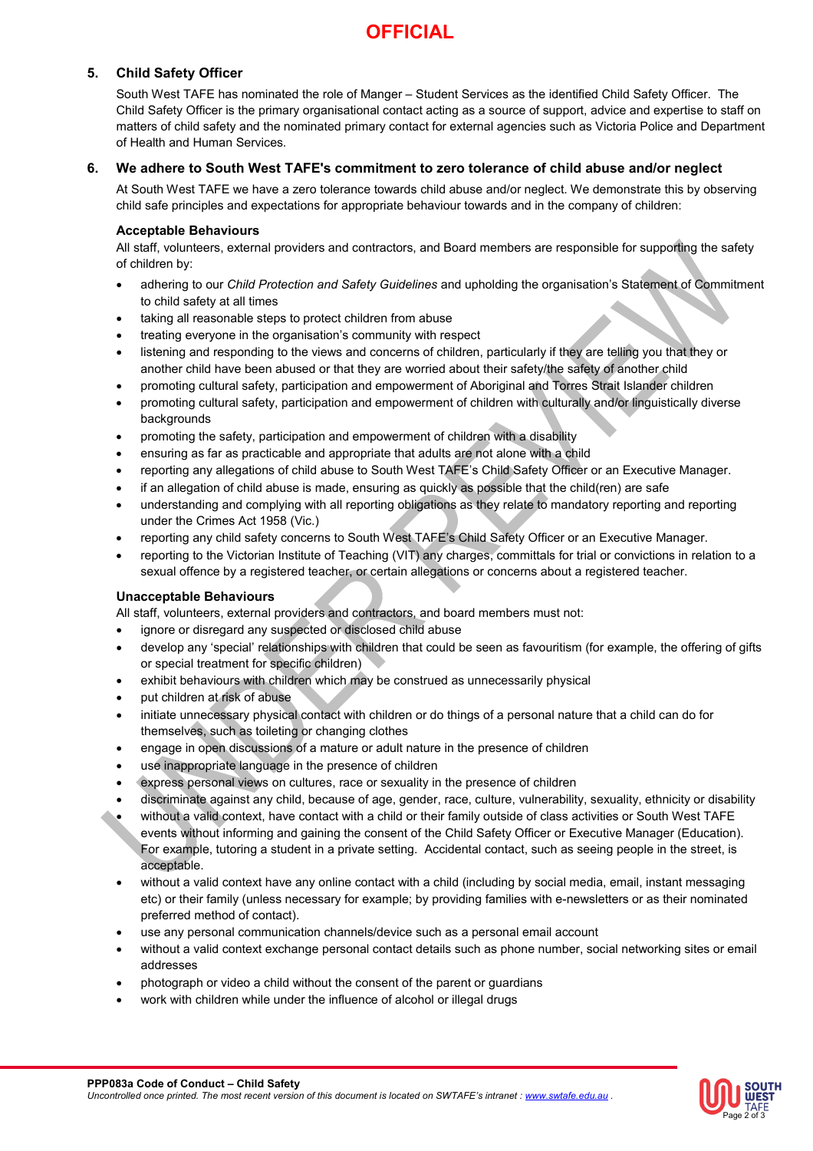# **OFFICIAL**

### **5. Child Safety Officer**

South West TAFE has nominated the role of Manger – Student Services as the identified Child Safety Officer. The Child Safety Officer is the primary organisational contact acting as a source of support, advice and expertise to staff on matters of child safety and the nominated primary contact for external agencies such as Victoria Police and Department of Health and Human Services.

### **6. We adhere to South West TAFE's commitment to zero tolerance of child abuse and/or neglect**

At South West TAFE we have a zero tolerance towards child abuse and/or neglect. We demonstrate this by observing child safe principles and expectations for appropriate behaviour towards and in the company of children:

### **Acceptable Behaviours**

All staff, volunteers, external providers and contractors, and Board members are responsible for supporting the safety of children by:

- adhering to our *Child Protection and Safety Guidelines* and upholding the organisation's Statement of Commitment to child safety at all times
- taking all reasonable steps to protect children from abuse
- treating everyone in the organisation's community with respect
- listening and responding to the views and concerns of children, particularly if they are telling you that they or another child have been abused or that they are worried about their safety/the safety of another child
- promoting cultural safety, participation and empowerment of Aboriginal and Torres Strait Islander children
- promoting cultural safety, participation and empowerment of children with culturally and/or linguistically diverse backgrounds
- promoting the safety, participation and empowerment of children with a disability
- ensuring as far as practicable and appropriate that adults are not alone with a child
- reporting any allegations of child abuse to South West TAFE's Child Safety Officer or an Executive Manager.
- if an allegation of child abuse is made, ensuring as quickly as possible that the child(ren) are safe
- understanding and complying with all reporting obligations as they relate to mandatory reporting and reporting under the Crimes Act 1958 (Vic.)
- reporting any child safety concerns to South West TAFE's Child Safety Officer or an Executive Manager.
- reporting to the Victorian Institute of Teaching (VIT) any charges, committals for trial or convictions in relation to a sexual offence by a registered teacher, or certain allegations or concerns about a registered teacher.

### **Unacceptable Behaviours**

All staff, volunteers, external providers and contractors, and board members must not:

- ignore or disregard any suspected or disclosed child abuse
- develop any 'special' relationships with children that could be seen as favouritism (for example, the offering of gifts or special treatment for specific children)
- exhibit behaviours with children which may be construed as unnecessarily physical
- put children at risk of abuse
- initiate unnecessary physical contact with children or do things of a personal nature that a child can do for themselves, such as toileting or changing clothes
- engage in open discussions of a mature or adult nature in the presence of children
- use inappropriate language in the presence of children
- express personal views on cultures, race or sexuality in the presence of children
- discriminate against any child, because of age, gender, race, culture, vulnerability, sexuality, ethnicity or disability • without a valid context, have contact with a child or their family outside of class activities or South West TAFE
- events without informing and gaining the consent of the Child Safety Officer or Executive Manager (Education). For example, tutoring a student in a private setting. Accidental contact, such as seeing people in the street, is acceptable.
- without a valid context have any online contact with a child (including by social media, email, instant messaging etc) or their family (unless necessary for example; by providing families with e-newsletters or as their nominated preferred method of contact).
- use any personal communication channels/device such as a personal email account
- without a valid context exchange personal contact details such as phone number, social networking sites or email addresses
- photograph or video a child without the consent of the parent or guardians
- work with children while under the influence of alcohol or illegal drugs